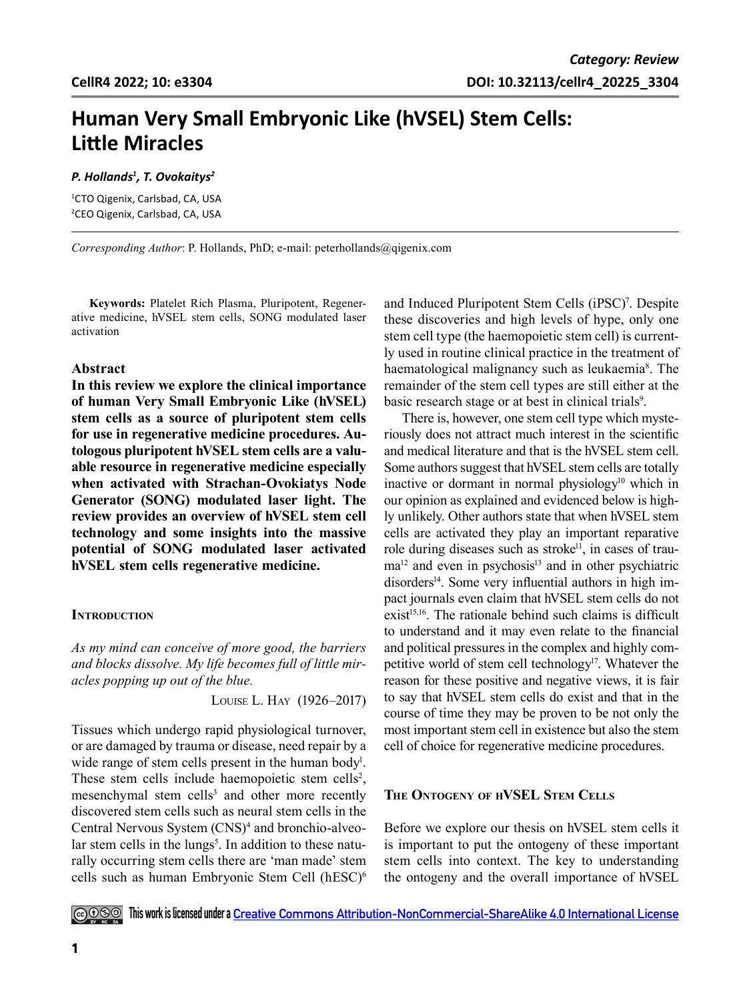# **Human Very Small Embryonic Like (hVSEL) Stem Cells: Little Miracles**

## *P. Hollands1 , T. Ovokaitys2*

1 CTO Qigenix, Carlsbad, CA, USA 2 CEO Qigenix, Carlsbad, CA, USA

*Corresponding Author*: P. Hollands, PhD; e-mail: peterhollands@qigenix.com

**Keywords:** Platelet Rich Plasma, Pluripotent, Regenerative medicine, hVSEL stem cells, SONG modulated laser activation

## **Abstract**

**In this review we explore the clinical importance of human Very Small Embryonic Like (hVSEL) stem cells as a source of pluripotent stem cells for use in regenerative medicine procedures. Autologous pluripotent hVSEL stem cells are a valuable resource in regenerative medicine especially when activated with Strachan-Ovokiatys Node Generator (SONG) modulated laser light. The review provides an overview of hVSEL stem cell technology and some insights into the massive potential of SONG modulated laser activated hVSEL stem cells regenerative medicine.**

## **INTRODUCTION**

*As my mind can conceive of more good, the barriers and blocks dissolve. My life becomes full of little miracles popping up out of the blue.* 

Louise L. Hay (1926–2017)

Tissues which undergo rapid physiological turnover, or are damaged by trauma or disease, need repair by a wide range of stem cells present in the human body<sup>1</sup>. These stem cells include haemopoietic stem cells<sup>2</sup>, mesenchymal stem cells<sup>3</sup> and other more recently discovered stem cells such as neural stem cells in the Central Nervous System (CNS)<sup>4</sup> and bronchio-alveolar stem cells in the lungs<sup>5</sup>. In addition to these naturally occurring stem cells there are 'man made' stem cells such as human Embryonic Stem Cell (hESC)6

and Induced Pluripotent Stem Cells (iPSC)<sup>7</sup>. Despite these discoveries and high levels of hype, only one stem cell type (the haemopoietic stem cell) is currently used in routine clinical practice in the treatment of haematological malignancy such as leukaemia<sup>8</sup>. The remainder of the stem cell types are still either at the basic research stage or at best in clinical trials<sup>9</sup>.

There is, however, one stem cell type which mysteriously does not attract much interest in the scientific and medical literature and that is the hVSEL stem cell. Some authors suggest that hVSEL stem cells are totally inactive or dormant in normal physiology<sup>10</sup> which in our opinion as explained and evidenced below is highly unlikely. Other authors state that when hVSEL stem cells are activated they play an important reparative role during diseases such as stroke<sup>11</sup>, in cases of trau $ma<sup>12</sup>$  and even in psychosis<sup>13</sup> and in other psychiatric disorders<sup>14</sup>. Some very influential authors in high impact journals even claim that hVSEL stem cells do not  $exist<sup>15,16</sup>$ . The rationale behind such claims is difficult to understand and it may even relate to the financial and political pressures in the complex and highly competitive world of stem cell technology<sup>17</sup>. Whatever the reason for these positive and negative views, it is fair to say that hVSEL stem cells do exist and that in the course of time they may be proven to be not only the most important stem cell in existence but also the stem cell of choice for regenerative medicine procedures.

# **The Ontogeny of hVSEL Stem Cells**

Before we explore our thesis on hVSEL stem cells it is important to put the ontogeny of these important stem cells into context. The key to understanding the ontogeny and the overall importance of hVSEL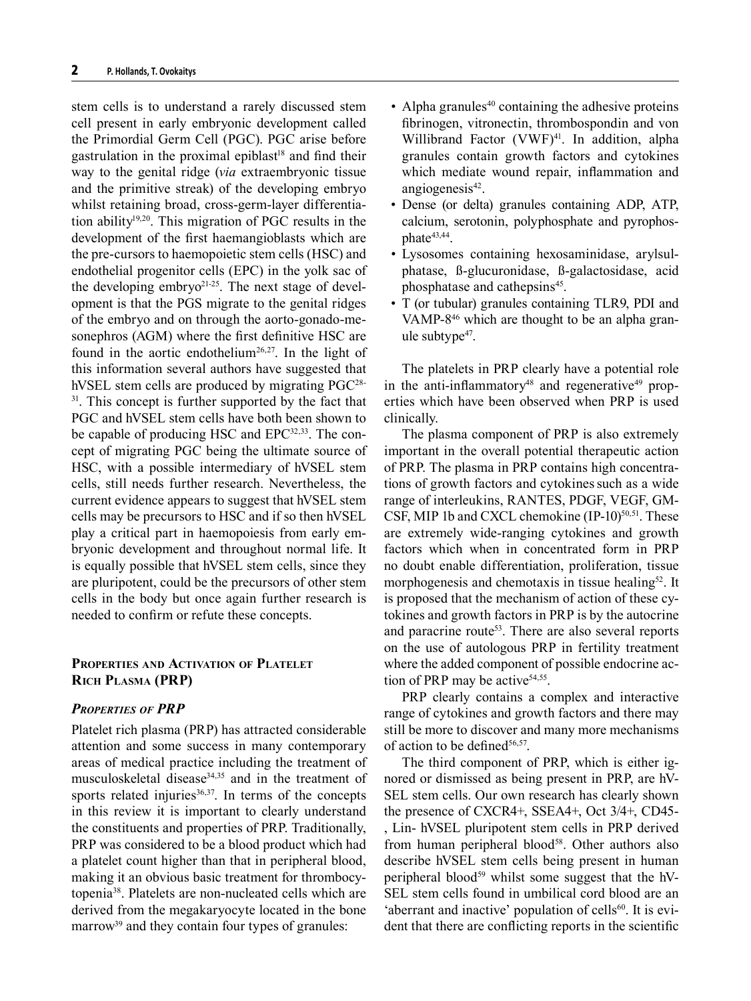stem cells is to understand a rarely discussed stem cell present in early embryonic development called the Primordial Germ Cell (PGC). PGC arise before gastrulation in the proximal epiblast<sup>18</sup> and find their way to the genital ridge (*via* extraembryonic tissue and the primitive streak) of the developing embryo whilst retaining broad, cross-germ-layer differentiation ability19,20. This migration of PGC results in the development of the first haemangioblasts which are the pre-cursors to haemopoietic stem cells (HSC) and endothelial progenitor cells (EPC) in the yolk sac of the developing embryo $2^{1-25}$ . The next stage of development is that the PGS migrate to the genital ridges of the embryo and on through the aorto-gonado-mesonephros (AGM) where the first definitive HSC are found in the aortic endothelium<sup>26,27</sup>. In the light of this information several authors have suggested that hVSEL stem cells are produced by migrating PGC<sup>28-</sup> <sup>31</sup>. This concept is further supported by the fact that PGC and hVSEL stem cells have both been shown to be capable of producing HSC and EPC<sup>32,33</sup>. The concept of migrating PGC being the ultimate source of HSC, with a possible intermediary of hVSEL stem cells, still needs further research. Nevertheless, the current evidence appears to suggest that hVSEL stem cells may be precursors to HSC and if so then hVSEL play a critical part in haemopoiesis from early embryonic development and throughout normal life. It is equally possible that hVSEL stem cells, since they are pluripotent, could be the precursors of other stem cells in the body but once again further research is needed to confirm or refute these concepts.

# **Properties and Activation of Platelet Rich Plasma (PRP)**

## *Properties of PRP*

Platelet rich plasma (PRP) has attracted considerable attention and some success in many contemporary areas of medical practice including the treatment of musculoskeletal disease<sup>34,35</sup> and in the treatment of sports related injuries $36,37$ . In terms of the concepts in this review it is important to clearly understand the constituents and properties of PRP. Traditionally, PRP was considered to be a blood product which had a platelet count higher than that in peripheral blood, making it an obvious basic treatment for thrombocytopenia38. Platelets are non-nucleated cells which are derived from the megakaryocyte located in the bone marrow<sup>39</sup> and they contain four types of granules:

- Alpha granules $40$  containing the adhesive proteins fibrinogen, vitronectin, thrombospondin and von Willibrand Factor (VWF)<sup>41</sup>. In addition, alpha granules contain growth factors and cytokines which mediate wound repair, inflammation and angiogenesis<sup>42</sup>.
- Dense (or delta) granules containing ADP, ATP, calcium, serotonin, polyphosphate and pyrophosphate<sup>43,44</sup>.
- Lysosomes containing hexosaminidase, arylsulphatase, ß-glucuronidase, ß-galactosidase, acid phosphatase and cathepsins<sup>45</sup>.
- T (or tubular) granules containing TLR9, PDI and VAMP-8<sup>46</sup> which are thought to be an alpha granule subtype<sup>47</sup>.

The platelets in PRP clearly have a potential role in the anti-inflammatory<sup>48</sup> and regenerative<sup>49</sup> properties which have been observed when PRP is used clinically.

The plasma component of PRP is also extremely important in the overall potential therapeutic action of PRP. The plasma in PRP contains high concentrations of growth factors and cytokines such as a wide range of interleukins, RANTES, PDGF, VEGF, GM-CSF, MIP 1b and CXCL chemokine  $(IP-10)^{50,51}$ . These are extremely wide-ranging cytokines and growth factors which when in concentrated form in PRP no doubt enable differentiation, proliferation, tissue morphogenesis and chemotaxis in tissue healing<sup>52</sup>. It is proposed that the mechanism of action of these cytokines and growth factors in PRP is by the autocrine and paracrine route<sup>53</sup>. There are also several reports on the use of autologous PRP in fertility treatment where the added component of possible endocrine action of PRP may be active $54,55$ .

PRP clearly contains a complex and interactive range of cytokines and growth factors and there may still be more to discover and many more mechanisms of action to be defined $56,57$ .

The third component of PRP, which is either ignored or dismissed as being present in PRP, are hV-SEL stem cells. Our own research has clearly shown the presence of CXCR4+, SSEA4+, Oct 3/4+, CD45- , Lin- hVSEL pluripotent stem cells in PRP derived from human peripheral blood<sup>58</sup>. Other authors also describe hVSEL stem cells being present in human peripheral blood<sup>59</sup> whilst some suggest that the  $hV$ -SEL stem cells found in umbilical cord blood are an 'aberrant and inactive' population of cells $60$ . It is evident that there are conflicting reports in the scientific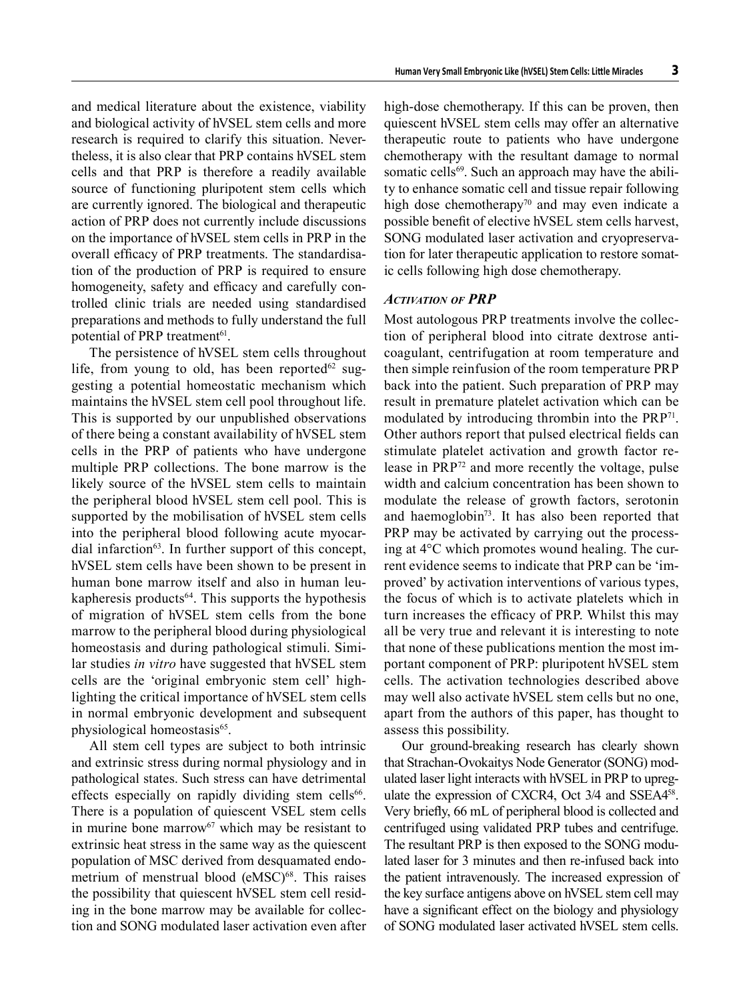and medical literature about the existence, viability and biological activity of hVSEL stem cells and more research is required to clarify this situation. Nevertheless, it is also clear that PRP contains hVSEL stem cells and that PRP is therefore a readily available source of functioning pluripotent stem cells which are currently ignored. The biological and therapeutic action of PRP does not currently include discussions on the importance of hVSEL stem cells in PRP in the overall efficacy of PRP treatments. The standardisation of the production of PRP is required to ensure homogeneity, safety and efficacy and carefully controlled clinic trials are needed using standardised preparations and methods to fully understand the full potential of PRP treatment<sup>61</sup>.

The persistence of hVSEL stem cells throughout life, from young to old, has been reported $62$  suggesting a potential homeostatic mechanism which maintains the hVSEL stem cell pool throughout life. This is supported by our unpublished observations of there being a constant availability of hVSEL stem cells in the PRP of patients who have undergone multiple PRP collections. The bone marrow is the likely source of the hVSEL stem cells to maintain the peripheral blood hVSEL stem cell pool. This is supported by the mobilisation of hVSEL stem cells into the peripheral blood following acute myocardial infarction $63$ . In further support of this concept, hVSEL stem cells have been shown to be present in human bone marrow itself and also in human leukapheresis products $64$ . This supports the hypothesis of migration of hVSEL stem cells from the bone marrow to the peripheral blood during physiological homeostasis and during pathological stimuli. Similar studies *in vitro* have suggested that hVSEL stem cells are the 'original embryonic stem cell' highlighting the critical importance of hVSEL stem cells in normal embryonic development and subsequent physiological homeostasis<sup>65</sup>.

All stem cell types are subject to both intrinsic and extrinsic stress during normal physiology and in pathological states. Such stress can have detrimental effects especially on rapidly dividing stem cells<sup>66</sup>. There is a population of quiescent VSEL stem cells in murine bone marrow $67$  which may be resistant to extrinsic heat stress in the same way as the quiescent population of MSC derived from desquamated endometrium of menstrual blood (eMSC)<sup>68</sup>. This raises the possibility that quiescent hVSEL stem cell residing in the bone marrow may be available for collection and SONG modulated laser activation even after high-dose chemotherapy. If this can be proven, then quiescent hVSEL stem cells may offer an alternative therapeutic route to patients who have undergone chemotherapy with the resultant damage to normal somatic cells<sup>69</sup>. Such an approach may have the ability to enhance somatic cell and tissue repair following high dose chemotherapy<sup>70</sup> and may even indicate a possible benefit of elective hVSEL stem cells harvest, SONG modulated laser activation and cryopreservation for later therapeutic application to restore somatic cells following high dose chemotherapy.

### *Activation of PRP*

Most autologous PRP treatments involve the collection of peripheral blood into citrate dextrose anticoagulant, centrifugation at room temperature and then simple reinfusion of the room temperature PRP back into the patient. Such preparation of PRP may result in premature platelet activation which can be modulated by introducing thrombin into the PRP<sup>71</sup>. Other authors report that pulsed electrical fields can stimulate platelet activation and growth factor release in PRP72 and more recently the voltage, pulse width and calcium concentration has been shown to modulate the release of growth factors, serotonin and haemoglobin73. It has also been reported that PRP may be activated by carrying out the processing at 4°C which promotes wound healing. The current evidence seems to indicate that PRP can be 'improved' by activation interventions of various types, the focus of which is to activate platelets which in turn increases the efficacy of PRP. Whilst this may all be very true and relevant it is interesting to note that none of these publications mention the most important component of PRP: pluripotent hVSEL stem cells. The activation technologies described above may well also activate hVSEL stem cells but no one, apart from the authors of this paper, has thought to assess this possibility.

Our ground-breaking research has clearly shown that Strachan-Ovokaitys Node Generator (SONG) modulated laser light interacts with hVSEL in PRP to upregulate the expression of CXCR4, Oct 3/4 and SSEA458. Very briefly, 66 mL of peripheral blood is collected and centrifuged using validated PRP tubes and centrifuge. The resultant PRP is then exposed to the SONG modulated laser for 3 minutes and then re-infused back into the patient intravenously. The increased expression of the key surface antigens above on hVSEL stem cell may have a significant effect on the biology and physiology of SONG modulated laser activated hVSEL stem cells.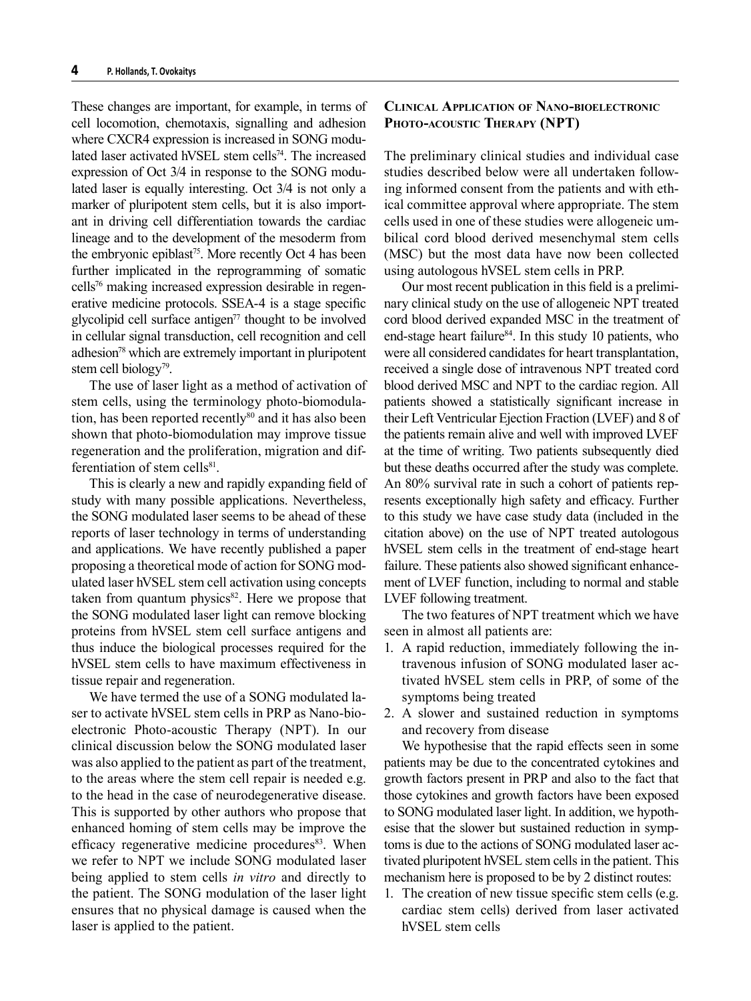These changes are important, for example, in terms of cell locomotion, chemotaxis, signalling and adhesion where CXCR4 expression is increased in SONG modulated laser activated hVSEL stem cells<sup>74</sup>. The increased expression of Oct 3/4 in response to the SONG modulated laser is equally interesting. Oct 3/4 is not only a marker of pluripotent stem cells, but it is also important in driving cell differentiation towards the cardiac lineage and to the development of the mesoderm from the embryonic epiblast<sup>75</sup>. More recently Oct 4 has been further implicated in the reprogramming of somatic cells76 making increased expression desirable in regenerative medicine protocols. SSEA-4 is a stage specific glycolipid cell surface antigen<sup> $77$ </sup> thought to be involved in cellular signal transduction, cell recognition and cell adhesion<sup>78</sup> which are extremely important in pluripotent stem cell biology<sup>79</sup>.

The use of laser light as a method of activation of stem cells, using the terminology photo-biomodulation, has been reported recently<sup>80</sup> and it has also been shown that photo-biomodulation may improve tissue regeneration and the proliferation, migration and differentiation of stem cells<sup>81</sup>.

This is clearly a new and rapidly expanding field of study with many possible applications. Nevertheless, the SONG modulated laser seems to be ahead of these reports of laser technology in terms of understanding and applications. We have recently published a paper proposing a theoretical mode of action for SONG modulated laser hVSEL stem cell activation using concepts taken from quantum physics $82$ . Here we propose that the SONG modulated laser light can remove blocking proteins from hVSEL stem cell surface antigens and thus induce the biological processes required for the hVSEL stem cells to have maximum effectiveness in tissue repair and regeneration.

We have termed the use of a SONG modulated laser to activate hVSEL stem cells in PRP as Nano-bioelectronic Photo-acoustic Therapy (NPT). In our clinical discussion below the SONG modulated laser was also applied to the patient as part of the treatment, to the areas where the stem cell repair is needed e.g. to the head in the case of neurodegenerative disease. This is supported by other authors who propose that enhanced homing of stem cells may be improve the efficacy regenerative medicine procedures<sup>83</sup>. When we refer to NPT we include SONG modulated laser being applied to stem cells *in vitro* and directly to the patient. The SONG modulation of the laser light ensures that no physical damage is caused when the laser is applied to the patient.

# **Clinical Application of Nano-bioelectronic Photo-acoustic Therapy (NPT)**

The preliminary clinical studies and individual case studies described below were all undertaken following informed consent from the patients and with ethical committee approval where appropriate. The stem cells used in one of these studies were allogeneic umbilical cord blood derived mesenchymal stem cells (MSC) but the most data have now been collected using autologous hVSEL stem cells in PRP.

Our most recent publication in this field is a preliminary clinical study on the use of allogeneic NPT treated cord blood derived expanded MSC in the treatment of end-stage heart failure<sup>84</sup>. In this study 10 patients, who were all considered candidates for heart transplantation, received a single dose of intravenous NPT treated cord blood derived MSC and NPT to the cardiac region. All patients showed a statistically significant increase in their Left Ventricular Ejection Fraction (LVEF) and 8 of the patients remain alive and well with improved LVEF at the time of writing. Two patients subsequently died but these deaths occurred after the study was complete. An 80% survival rate in such a cohort of patients represents exceptionally high safety and efficacy. Further to this study we have case study data (included in the citation above) on the use of NPT treated autologous hVSEL stem cells in the treatment of end-stage heart failure. These patients also showed significant enhancement of LVEF function, including to normal and stable LVEF following treatment.

The two features of NPT treatment which we have seen in almost all patients are:

- 1. A rapid reduction, immediately following the intravenous infusion of SONG modulated laser activated hVSEL stem cells in PRP, of some of the symptoms being treated
- 2. A slower and sustained reduction in symptoms and recovery from disease

We hypothesise that the rapid effects seen in some patients may be due to the concentrated cytokines and growth factors present in PRP and also to the fact that those cytokines and growth factors have been exposed to SONG modulated laser light. In addition, we hypothesise that the slower but sustained reduction in symptoms is due to the actions of SONG modulated laser activated pluripotent hVSEL stem cells in the patient. This mechanism here is proposed to be by 2 distinct routes:

1. The creation of new tissue specific stem cells (e.g. cardiac stem cells) derived from laser activated hVSEL stem cells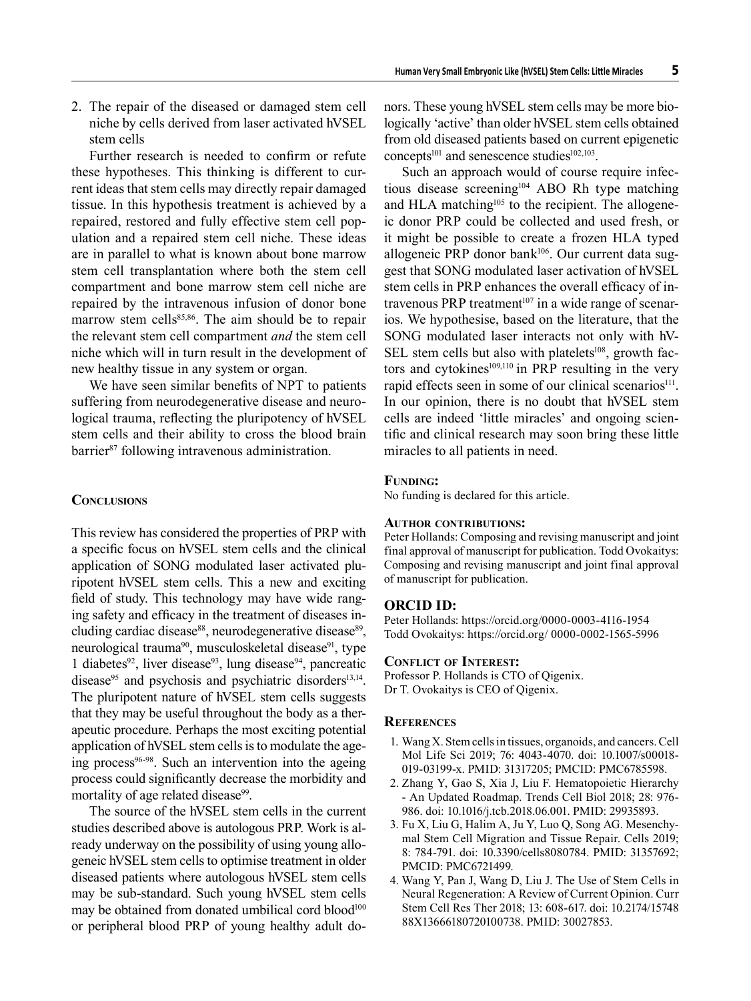2. The repair of the diseased or damaged stem cell niche by cells derived from laser activated hVSEL stem cells

Further research is needed to confirm or refute these hypotheses. This thinking is different to current ideas that stem cells may directly repair damaged tissue. In this hypothesis treatment is achieved by a repaired, restored and fully effective stem cell population and a repaired stem cell niche. These ideas are in parallel to what is known about bone marrow stem cell transplantation where both the stem cell compartment and bone marrow stem cell niche are repaired by the intravenous infusion of donor bone marrow stem cells<sup>85,86</sup>. The aim should be to repair the relevant stem cell compartment *and* the stem cell niche which will in turn result in the development of new healthy tissue in any system or organ.

We have seen similar benefits of NPT to patients suffering from neurodegenerative disease and neurological trauma, reflecting the pluripotency of hVSEL stem cells and their ability to cross the blood brain barrier<sup>87</sup> following intravenous administration.

### **Conclusions**

This review has considered the properties of PRP with a specific focus on hVSEL stem cells and the clinical application of SONG modulated laser activated pluripotent hVSEL stem cells. This a new and exciting field of study. This technology may have wide ranging safety and efficacy in the treatment of diseases including cardiac disease<sup>88</sup>, neurodegenerative disease<sup>89</sup>, neurological trauma<sup>90</sup>, musculoskeletal disease<sup>91</sup>, type 1 diabetes<sup>92</sup>, liver disease<sup>93</sup>, lung disease<sup>94</sup>, pancreatic disease $95$  and psychosis and psychiatric disorders<sup>13,14</sup>. The pluripotent nature of hVSEL stem cells suggests that they may be useful throughout the body as a therapeutic procedure. Perhaps the most exciting potential application of hVSEL stem cells is to modulate the ageing process<sup>96-98</sup>. Such an intervention into the ageing process could significantly decrease the morbidity and mortality of age related disease<sup>99</sup>.

The source of the hVSEL stem cells in the current studies described above is autologous PRP. Work is already underway on the possibility of using young allogeneic hVSEL stem cells to optimise treatment in older diseased patients where autologous hVSEL stem cells may be sub-standard. Such young hVSEL stem cells may be obtained from donated umbilical cord blood<sup>100</sup> or peripheral blood PRP of young healthy adult donors. These young hVSEL stem cells may be more biologically 'active' than older hVSEL stem cells obtained from old diseased patients based on current epigenetic concepts<sup>101</sup> and senescence studies<sup>102,103</sup>.

Such an approach would of course require infectious disease screening<sup>104</sup> ABO Rh type matching and HLA matching<sup>105</sup> to the recipient. The allogeneic donor PRP could be collected and used fresh, or it might be possible to create a frozen HLA typed allogeneic PRP donor bank<sup>106</sup>. Our current data suggest that SONG modulated laser activation of hVSEL stem cells in PRP enhances the overall efficacy of intravenous PRP treatment<sup>107</sup> in a wide range of scenarios. We hypothesise, based on the literature, that the SONG modulated laser interacts not only with hV-SEL stem cells but also with platelets $108$ , growth factors and cytokines $109,110$  in PRP resulting in the very rapid effects seen in some of our clinical scenarios<sup>111</sup>. In our opinion, there is no doubt that hVSEL stem cells are indeed 'little miracles' and ongoing scientific and clinical research may soon bring these little miracles to all patients in need.

## **Funding:**

No funding is declared for this article.

#### **Author contributions:**

Peter Hollands: Composing and revising manuscript and joint final approval of manuscript for publication. Todd Ovokaitys: Composing and revising manuscript and joint final approval of manuscript for publication.

#### **ORCID ID:**

Peter Hollands: https://orcid.org/0000-0003-4116-1954 Todd Ovokaitys: https://orcid.org/ 0000-0002-1565-5996

#### **Conflict of Interest:**

Professor P. Hollands is CTO of Qigenix. Dr T. Ovokaitys is CEO of Qigenix.

#### **References**

- 1. Wang X. Stem cells in tissues, organoids, and cancers. Cell Mol Life Sci 2019; 76: 4043-4070. doi: 10.1007/s00018- 019-03199-x. PMID: 31317205; PMCID: PMC6785598.
- 2. Zhang Y, Gao S, Xia J, Liu F. Hematopoietic Hierarchy - An Updated Roadmap. Trends Cell Biol 2018; 28: 976- 986. doi: 10.1016/j.tcb.2018.06.001. PMID: 29935893.
- 3. Fu X, Liu G, Halim A, Ju Y, Luo Q, Song AG. Mesenchymal Stem Cell Migration and Tissue Repair. Cells 2019; 8: 784-791. doi: 10.3390/cells8080784. PMID: 31357692; PMCID: PMC6721499.
- 4. Wang Y, Pan J, Wang D, Liu J. The Use of Stem Cells in Neural Regeneration: A Review of Current Opinion. Curr Stem Cell Res Ther 2018; 13: 608-617. doi: 10.2174/15748 88X13666180720100738. PMID: 30027853.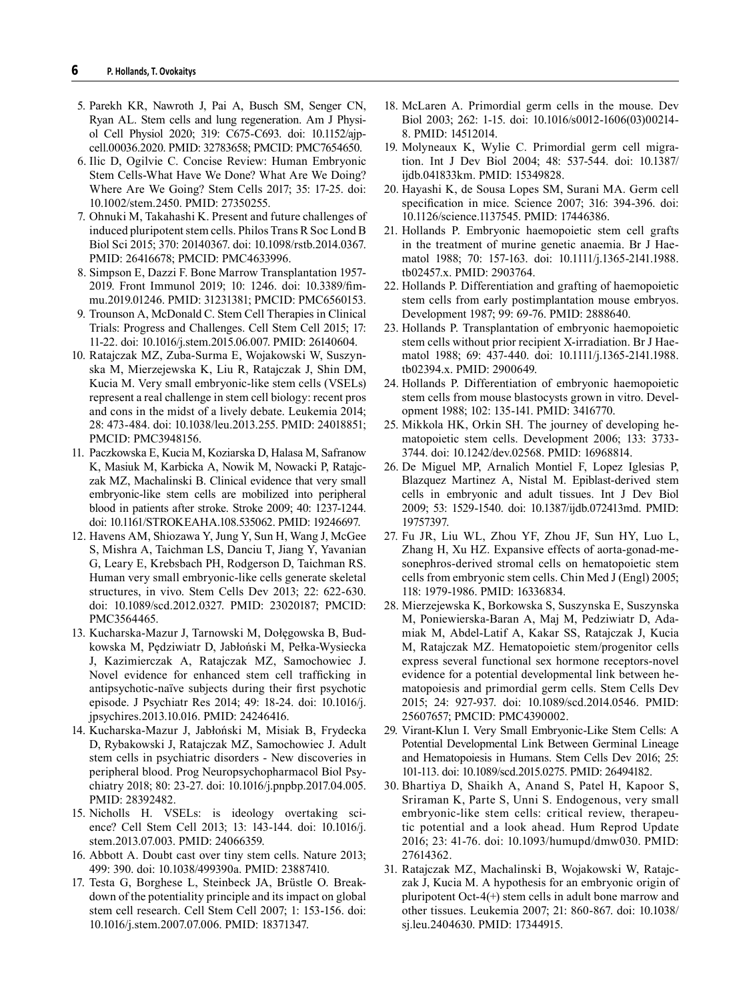- 5. Parekh KR, Nawroth J, Pai A, Busch SM, Senger CN, Ryan AL. Stem cells and lung regeneration. Am J Physiol Cell Physiol 2020; 319: C675-C693. doi: 10.1152/ajpcell.00036.2020. PMID: 32783658; PMCID: PMC7654650.
- 6. Ilic D, Ogilvie C. Concise Review: Human Embryonic Stem Cells-What Have We Done? What Are We Doing? Where Are We Going? Stem Cells 2017; 35: 17-25. doi: 10.1002/stem.2450. PMID: 27350255.
- 7. Ohnuki M, Takahashi K. Present and future challenges of induced pluripotent stem cells. Philos Trans R Soc Lond B Biol Sci 2015; 370: 20140367. doi: 10.1098/rstb.2014.0367. PMID: 26416678; PMCID: PMC4633996.
- 8. Simpson E, Dazzi F. Bone Marrow Transplantation 1957- 2019. Front Immunol 2019; 10: 1246. doi: 10.3389/fimmu.2019.01246. PMID: 31231381; PMCID: PMC6560153.
- 9. Trounson A, McDonald C. Stem Cell Therapies in Clinical Trials: Progress and Challenges. Cell Stem Cell 2015; 17: 11-22. doi: 10.1016/j.stem.2015.06.007. PMID: 26140604.
- 10. Ratajczak MZ, Zuba-Surma E, Wojakowski W, Suszynska M, Mierzejewska K, Liu R, Ratajczak J, Shin DM, Kucia M. Very small embryonic-like stem cells (VSELs) represent a real challenge in stem cell biology: recent pros and cons in the midst of a lively debate. Leukemia 2014; 28: 473-484. doi: 10.1038/leu.2013.255. PMID: 24018851; PMCID: PMC3948156.
- 11. Paczkowska E, Kucia M, Koziarska D, Halasa M, Safranow K, Masiuk M, Karbicka A, Nowik M, Nowacki P, Ratajczak MZ, Machalinski B. Clinical evidence that very small embryonic-like stem cells are mobilized into peripheral blood in patients after stroke. Stroke 2009; 40: 1237-1244. doi: 10.1161/STROKEAHA.108.535062. PMID: 19246697.
- 12. Havens AM, Shiozawa Y, Jung Y, Sun H, Wang J, McGee S, Mishra A, Taichman LS, Danciu T, Jiang Y, Yavanian G, Leary E, Krebsbach PH, Rodgerson D, Taichman RS. Human very small embryonic-like cells generate skeletal structures, in vivo. Stem Cells Dev 2013; 22: 622-630. doi: 10.1089/scd.2012.0327. PMID: 23020187; PMCID: PMC3564465.
- 13. Kucharska-Mazur J, Tarnowski M, Dołęgowska B, Budkowska M, Pędziwiatr D, Jabłoński M, Pełka-Wysiecka J, Kazimierczak A, Ratajczak MZ, Samochowiec J. Novel evidence for enhanced stem cell trafficking in antipsychotic-naïve subjects during their first psychotic episode. J Psychiatr Res 2014; 49: 18-24. doi: 10.1016/j. jpsychires.2013.10.016. PMID: 24246416.
- 14. Kucharska-Mazur J, Jabłoński M, Misiak B, Frydecka D, Rybakowski J, Ratajczak MZ, Samochowiec J. Adult stem cells in psychiatric disorders - New discoveries in peripheral blood. Prog Neuropsychopharmacol Biol Psychiatry 2018; 80: 23-27. doi: 10.1016/j.pnpbp.2017.04.005. PMID: 28392482.
- 15. Nicholls H. VSELs: is ideology overtaking science? Cell Stem Cell 2013; 13: 143-144. doi: 10.1016/j. stem.2013.07.003. PMID: 24066359.
- 16. Abbott A. Doubt cast over tiny stem cells. Nature 2013; 499: 390. doi: 10.1038/499390a. PMID: 23887410.
- 17. Testa G, Borghese L, Steinbeck JA, Brüstle O. Breakdown of the potentiality principle and its impact on global stem cell research. Cell Stem Cell 2007; 1: 153-156. doi: 10.1016/j.stem.2007.07.006. PMID: 18371347.
- 18. McLaren A. Primordial germ cells in the mouse. Dev Biol 2003; 262: 1-15. doi: 10.1016/s0012-1606(03)00214- 8. PMID: 14512014.
- 19. Molyneaux K, Wylie C. Primordial germ cell migration. Int J Dev Biol 2004; 48: 537-544. doi: 10.1387/ ijdb.041833km. PMID: 15349828.
- 20. Hayashi K, de Sousa Lopes SM, Surani MA. Germ cell specification in mice. Science 2007; 316: 394-396. doi: 10.1126/science.1137545. PMID: 17446386.
- 21. Hollands P. Embryonic haemopoietic stem cell grafts in the treatment of murine genetic anaemia. Br J Haematol 1988; 70: 157-163. doi: 10.1111/j.1365-2141.1988. tb02457.x. PMID: 2903764.
- 22. Hollands P. Differentiation and grafting of haemopoietic stem cells from early postimplantation mouse embryos. Development 1987; 99: 69-76. PMID: 2888640.
- 23. Hollands P. Transplantation of embryonic haemopoietic stem cells without prior recipient X-irradiation. Br J Haematol 1988; 69: 437-440. doi: 10.1111/j.1365-2141.1988. tb02394.x. PMID: 2900649.
- 24. Hollands P. Differentiation of embryonic haemopoietic stem cells from mouse blastocysts grown in vitro. Development 1988; 102: 135-141. PMID: 3416770.
- 25. Mikkola HK, Orkin SH. The journey of developing hematopoietic stem cells. Development 2006; 133: 3733- 3744. doi: 10.1242/dev.02568. PMID: 16968814.
- 26. De Miguel MP, Arnalich Montiel F, Lopez Iglesias P, Blazquez Martinez A, Nistal M. Epiblast-derived stem cells in embryonic and adult tissues. Int J Dev Biol 2009; 53: 1529-1540. doi: 10.1387/ijdb.072413md. PMID: 19757397.
- 27. Fu JR, Liu WL, Zhou YF, Zhou JF, Sun HY, Luo L, Zhang H, Xu HZ. Expansive effects of aorta-gonad-mesonephros-derived stromal cells on hematopoietic stem cells from embryonic stem cells. Chin Med J (Engl) 2005; 118: 1979-1986. PMID: 16336834.
- 28. Mierzejewska K, Borkowska S, Suszynska E, Suszynska M, Poniewierska-Baran A, Maj M, Pedziwiatr D, Adamiak M, Abdel-Latif A, Kakar SS, Ratajczak J, Kucia M, Ratajczak MZ. Hematopoietic stem/progenitor cells express several functional sex hormone receptors-novel evidence for a potential developmental link between hematopoiesis and primordial germ cells. Stem Cells Dev 2015; 24: 927-937. doi: 10.1089/scd.2014.0546. PMID: 25607657; PMCID: PMC4390002.
- 29. Virant-Klun I. Very Small Embryonic-Like Stem Cells: A Potential Developmental Link Between Germinal Lineage and Hematopoiesis in Humans. Stem Cells Dev 2016; 25: 101-113. doi: 10.1089/scd.2015.0275. PMID: 26494182.
- 30. Bhartiya D, Shaikh A, Anand S, Patel H, Kapoor S, Sriraman K, Parte S, Unni S. Endogenous, very small embryonic-like stem cells: critical review, therapeutic potential and a look ahead. Hum Reprod Update 2016; 23: 41-76. doi: 10.1093/humupd/dmw030. PMID: 27614362.
- 31. Ratajczak MZ, Machalinski B, Wojakowski W, Ratajczak J, Kucia M. A hypothesis for an embryonic origin of pluripotent Oct-4(+) stem cells in adult bone marrow and other tissues. Leukemia 2007; 21: 860-867. doi: 10.1038/ sj.leu.2404630. PMID: 17344915.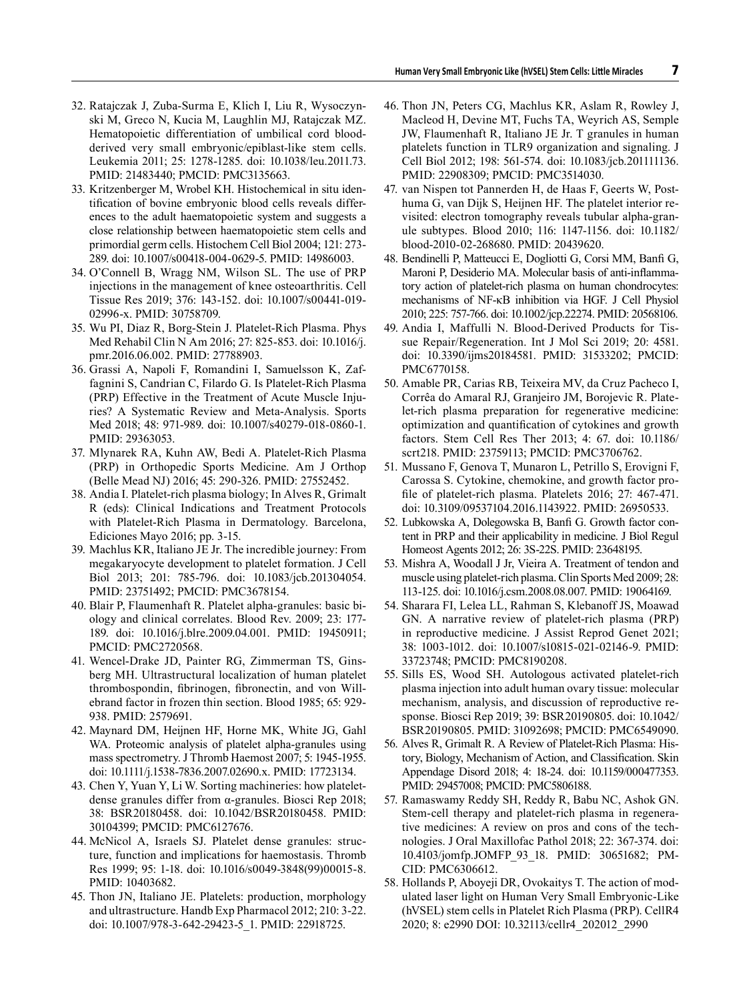- 32. Ratajczak J, Zuba-Surma E, Klich I, Liu R, Wysoczynski M, Greco N, Kucia M, Laughlin MJ, Ratajczak MZ. Hematopoietic differentiation of umbilical cord bloodderived very small embryonic/epiblast-like stem cells. Leukemia 2011; 25: 1278-1285. doi: 10.1038/leu.2011.73. PMID: 21483440; PMCID: PMC3135663.
- 33. Kritzenberger M, Wrobel KH. Histochemical in situ identification of bovine embryonic blood cells reveals differences to the adult haematopoietic system and suggests a close relationship between haematopoietic stem cells and primordial germ cells. Histochem Cell Biol 2004; 121: 273- 289. doi: 10.1007/s00418-004-0629-5. PMID: 14986003.
- 34. O'Connell B, Wragg NM, Wilson SL. The use of PRP injections in the management of knee osteoarthritis. Cell Tissue Res 2019; 376: 143-152. doi: 10.1007/s00441-019- 02996-x. PMID: 30758709.
- 35. Wu PI, Diaz R, Borg-Stein J. Platelet-Rich Plasma. Phys Med Rehabil Clin N Am 2016; 27: 825-853. doi: 10.1016/j. pmr.2016.06.002. PMID: 27788903.
- 36. Grassi A, Napoli F, Romandini I, Samuelsson K, Zaffagnini S, Candrian C, Filardo G. Is Platelet-Rich Plasma (PRP) Effective in the Treatment of Acute Muscle Injuries? A Systematic Review and Meta-Analysis. Sports Med 2018; 48: 971-989. doi: 10.1007/s40279-018-0860-1. PMID: 29363053.
- 37. Mlynarek RA, Kuhn AW, Bedi A. Platelet-Rich Plasma (PRP) in Orthopedic Sports Medicine. Am J Orthop (Belle Mead NJ) 2016; 45: 290-326. PMID: 27552452.
- 38. Andia I. Platelet-rich plasma biology; In Alves R, Grimalt R (eds): Clinical Indications and Treatment Protocols with Platelet-Rich Plasma in Dermatology. Barcelona, Ediciones Mayo 2016; pp. 3-15.
- 39. Machlus KR, Italiano JE Jr. The incredible journey: From megakaryocyte development to platelet formation. J Cell Biol 2013; 201: 785-796. doi: 10.1083/jcb.201304054. PMID: 23751492; PMCID: PMC3678154.
- 40. Blair P, Flaumenhaft R. Platelet alpha-granules: basic biology and clinical correlates. Blood Rev. 2009; 23: 177- 189. doi: 10.1016/j.blre.2009.04.001. PMID: 19450911; PMCID: PMC2720568.
- 41. Wencel-Drake JD, Painter RG, Zimmerman TS, Ginsberg MH. Ultrastructural localization of human platelet thrombospondin, fibrinogen, fibronectin, and von Willebrand factor in frozen thin section. Blood 1985; 65: 929- 938. PMID: 2579691.
- 42. Maynard DM, Heijnen HF, Horne MK, White JG, Gahl WA. Proteomic analysis of platelet alpha-granules using mass spectrometry. J Thromb Haemost 2007; 5: 1945-1955. doi: 10.1111/j.1538-7836.2007.02690.x. PMID: 17723134.
- 43. Chen Y, Yuan Y, Li W. Sorting machineries: how plateletdense granules differ from α-granules. Biosci Rep 2018; 38: BSR20180458. doi: 10.1042/BSR20180458. PMID: 30104399; PMCID: PMC6127676.
- 44. McNicol A, Israels SJ. Platelet dense granules: structure, function and implications for haemostasis. Thromb Res 1999; 95: 1-18. doi: 10.1016/s0049-3848(99)00015-8. PMID: 10403682.
- 45. Thon JN, Italiano JE. Platelets: production, morphology and ultrastructure. Handb Exp Pharmacol 2012; 210: 3-22. doi: 10.1007/978-3-642-29423-5\_1. PMID: 22918725.
- 46. Thon JN, Peters CG, Machlus KR, Aslam R, Rowley J, Macleod H, Devine MT, Fuchs TA, Weyrich AS, Semple JW, Flaumenhaft R, Italiano JE Jr. T granules in human platelets function in TLR9 organization and signaling. J Cell Biol 2012; 198: 561-574. doi: 10.1083/jcb.201111136. PMID: 22908309; PMCID: PMC3514030.
- 47. van Nispen tot Pannerden H, de Haas F, Geerts W, Posthuma G, van Dijk S, Heijnen HF. The platelet interior revisited: electron tomography reveals tubular alpha-granule subtypes. Blood 2010; 116: 1147-1156. doi: 10.1182/ blood-2010-02-268680. PMID: 20439620.
- 48. Bendinelli P, Matteucci E, Dogliotti G, Corsi MM, Banfi G, Maroni P, Desiderio MA. Molecular basis of anti-inflammatory action of platelet-rich plasma on human chondrocytes: mechanisms of NF-κB inhibition via HGF. J Cell Physiol 2010; 225: 757-766. doi: 10.1002/jcp.22274. PMID: 20568106.
- 49. Andia I, Maffulli N. Blood-Derived Products for Tissue Repair/Regeneration. Int J Mol Sci 2019; 20: 4581. doi: 10.3390/ijms20184581. PMID: 31533202; PMCID: PMC6770158.
- 50. Amable PR, Carias RB, Teixeira MV, da Cruz Pacheco I, Corrêa do Amaral RJ, Granjeiro JM, Borojevic R. Platelet-rich plasma preparation for regenerative medicine: optimization and quantification of cytokines and growth factors. Stem Cell Res Ther 2013; 4: 67. doi: 10.1186/ scrt218. PMID: 23759113; PMCID: PMC3706762.
- 51. Mussano F, Genova T, Munaron L, Petrillo S, Erovigni F, Carossa S. Cytokine, chemokine, and growth factor profile of platelet-rich plasma. Platelets 2016; 27: 467-471. doi: 10.3109/09537104.2016.1143922. PMID: 26950533.
- 52. Lubkowska A, Dolegowska B, Banfi G. Growth factor content in PRP and their applicability in medicine. J Biol Regul Homeost Agents 2012; 26: 3S-22S. PMID: 23648195.
- 53. Mishra A, Woodall J Jr, Vieira A. Treatment of tendon and muscle using platelet-rich plasma. Clin Sports Med 2009; 28: 113-125. doi: 10.1016/j.csm.2008.08.007. PMID: 19064169.
- 54. Sharara FI, Lelea LL, Rahman S, Klebanoff JS, Moawad GN. A narrative review of platelet-rich plasma (PRP) in reproductive medicine. J Assist Reprod Genet 2021; 38: 1003-1012. doi: 10.1007/s10815-021-02146-9. PMID: 33723748; PMCID: PMC8190208.
- 55. Sills ES, Wood SH. Autologous activated platelet-rich plasma injection into adult human ovary tissue: molecular mechanism, analysis, and discussion of reproductive response. Biosci Rep 2019; 39: BSR20190805. doi: 10.1042/ BSR20190805. PMID: 31092698; PMCID: PMC6549090.
- 56. Alves R, Grimalt R. A Review of Platelet-Rich Plasma: History, Biology, Mechanism of Action, and Classification. Skin Appendage Disord 2018; 4: 18-24. doi: 10.1159/000477353. PMID: 29457008; PMCID: PMC5806188.
- 57. Ramaswamy Reddy SH, Reddy R, Babu NC, Ashok GN. Stem-cell therapy and platelet-rich plasma in regenerative medicines: A review on pros and cons of the technologies. J Oral Maxillofac Pathol 2018; 22: 367-374. doi: 10.4103/jomfp.JOMFP\_93\_18. PMID: 30651682; PM-CID: PMC6306612.
- 58. Hollands P, Aboyeji DR, Ovokaitys T. The action of modulated laser light on Human Very Small Embryonic-Like (hVSEL) stem cells in Platelet Rich Plasma (PRP). CellR4 2020; 8: e2990 DOI: 10.32113/cellr4\_202012\_2990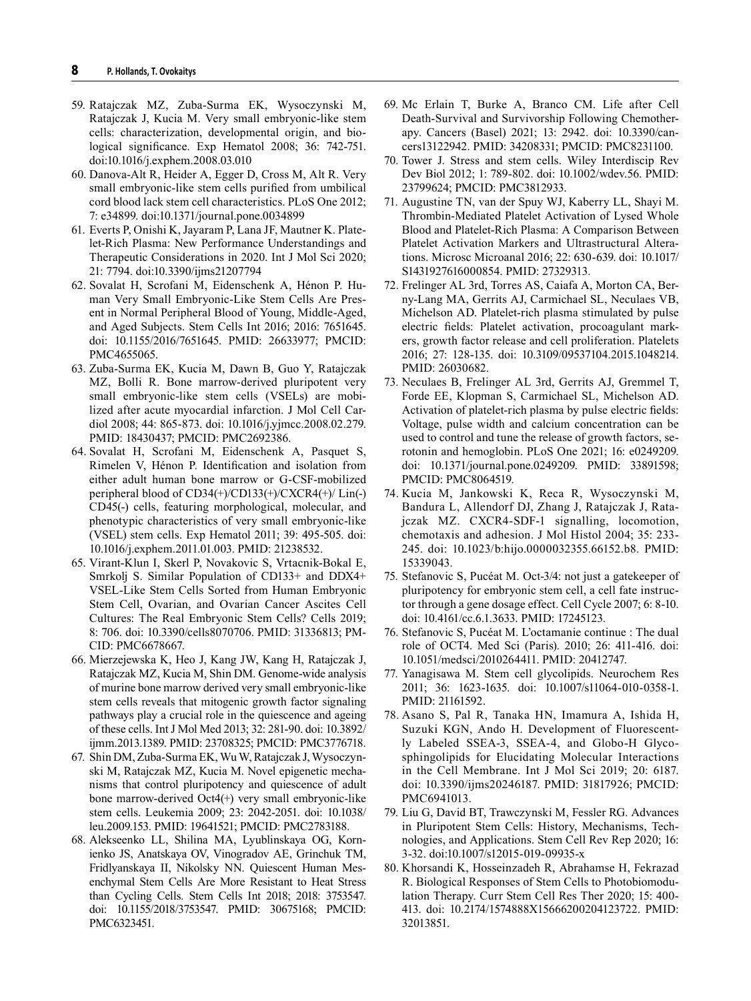- 59. Ratajczak MZ, Zuba-Surma EK, Wysoczynski M, Ratajczak J, Kucia M. Very small embryonic-like stem cells: characterization, developmental origin, and biological significance. Exp Hematol 2008; 36: 742-751. doi:10.1016/j.exphem.2008.03.010
- 60. Danova-Alt R, Heider A, Egger D, Cross M, Alt R. Very small embryonic-like stem cells purified from umbilical cord blood lack stem cell characteristics. PLoS One 2012; 7: e34899. doi:10.1371/journal.pone.0034899
- 61. Everts P, Onishi K, Jayaram P, Lana JF, Mautner K. Platelet-Rich Plasma: New Performance Understandings and Therapeutic Considerations in 2020. Int J Mol Sci 2020; 21: 7794. doi:10.3390/ijms21207794
- 62. Sovalat H, Scrofani M, Eidenschenk A, Hénon P. Human Very Small Embryonic-Like Stem Cells Are Present in Normal Peripheral Blood of Young, Middle-Aged, and Aged Subjects. Stem Cells Int 2016; 2016: 7651645. doi: 10.1155/2016/7651645. PMID: 26633977; PMCID: PMC4655065.
- 63. Zuba-Surma EK, Kucia M, Dawn B, Guo Y, Ratajczak MZ, Bolli R. Bone marrow-derived pluripotent very small embryonic-like stem cells (VSELs) are mobilized after acute myocardial infarction. J Mol Cell Cardiol 2008; 44: 865-873. doi: 10.1016/j.yjmcc.2008.02.279. PMID: 18430437; PMCID: PMC2692386.
- 64. Sovalat H, Scrofani M, Eidenschenk A, Pasquet S, Rimelen V, Hénon P. Identification and isolation from either adult human bone marrow or G-CSF-mobilized peripheral blood of CD34(+)/CD133(+)/CXCR4(+)/ Lin(-) CD45(-) cells, featuring morphological, molecular, and phenotypic characteristics of very small embryonic-like (VSEL) stem cells. Exp Hematol 2011; 39: 495-505. doi: 10.1016/j.exphem.2011.01.003. PMID: 21238532.
- 65. Virant-Klun I, Skerl P, Novakovic S, Vrtacnik-Bokal E, Smrkolj S. Similar Population of CD133+ and DDX4+ VSEL-Like Stem Cells Sorted from Human Embryonic Stem Cell, Ovarian, and Ovarian Cancer Ascites Cell Cultures: The Real Embryonic Stem Cells? Cells 2019; 8: 706. doi: 10.3390/cells8070706. PMID: 31336813; PM-CID: PMC6678667.
- 66. Mierzejewska K, Heo J, Kang JW, Kang H, Ratajczak J, Ratajczak MZ, Kucia M, Shin DM. Genome-wide analysis of murine bone marrow derived very small embryonic-like stem cells reveals that mitogenic growth factor signaling pathways play a crucial role in the quiescence and ageing of these cells. Int J Mol Med 2013; 32: 281-90. doi: 10.3892/ ijmm.2013.1389. PMID: 23708325; PMCID: PMC3776718.
- 67. Shin DM, Zuba-Surma EK, Wu W, Ratajczak J, Wysoczynski M, Ratajczak MZ, Kucia M. Novel epigenetic mechanisms that control pluripotency and quiescence of adult bone marrow-derived Oct4(+) very small embryonic-like stem cells. Leukemia 2009; 23: 2042-2051. doi: 10.1038/ leu.2009.153. PMID: 19641521; PMCID: PMC2783188.
- 68. Alekseenko LL, Shilina MA, Lyublinskaya OG, Kornienko JS, Anatskaya OV, Vinogradov AE, Grinchuk TM, Fridlyanskaya II, Nikolsky NN. Quiescent Human Mesenchymal Stem Cells Are More Resistant to Heat Stress than Cycling Cells. Stem Cells Int 2018; 2018: 3753547. doi: 10.1155/2018/3753547. PMID: 30675168; PMCID: PMC6323451.
- 69. Mc Erlain T, Burke A, Branco CM. Life after Cell Death-Survival and Survivorship Following Chemotherapy. Cancers (Basel) 2021; 13: 2942. doi: 10.3390/cancers13122942. PMID: 34208331; PMCID: PMC8231100.
- 70. Tower J. Stress and stem cells. Wiley Interdiscip Rev Dev Biol 2012; 1: 789-802. doi: 10.1002/wdev.56. PMID: 23799624; PMCID: PMC3812933.
- 71. Augustine TN, van der Spuy WJ, Kaberry LL, Shayi M. Thrombin-Mediated Platelet Activation of Lysed Whole Blood and Platelet-Rich Plasma: A Comparison Between Platelet Activation Markers and Ultrastructural Alterations. Microsc Microanal 2016; 22: 630-639. doi: 10.1017/ S1431927616000854. PMID: 27329313.
- 72. Frelinger AL 3rd, Torres AS, Caiafa A, Morton CA, Berny-Lang MA, Gerrits AJ, Carmichael SL, Neculaes VB, Michelson AD. Platelet-rich plasma stimulated by pulse electric fields: Platelet activation, procoagulant markers, growth factor release and cell proliferation. Platelets 2016; 27: 128-135. doi: 10.3109/09537104.2015.1048214. PMID: 26030682.
- 73. Neculaes B, Frelinger AL 3rd, Gerrits AJ, Gremmel T, Forde EE, Klopman S, Carmichael SL, Michelson AD. Activation of platelet-rich plasma by pulse electric fields: Voltage, pulse width and calcium concentration can be used to control and tune the release of growth factors, serotonin and hemoglobin. PLoS One 2021; 16: e0249209. doi: 10.1371/journal.pone.0249209. PMID: 33891598; PMCID: PMC8064519.
- 74. Kucia M, Jankowski K, Reca R, Wysoczynski M, Bandura L, Allendorf DJ, Zhang J, Ratajczak J, Ratajczak MZ. CXCR4-SDF-1 signalling, locomotion, chemotaxis and adhesion. J Mol Histol 2004; 35: 233- 245. doi: 10.1023/b:hijo.0000032355.66152.b8. PMID: 15339043.
- 75. Stefanovic S, Pucéat M. Oct-3/4: not just a gatekeeper of pluripotency for embryonic stem cell, a cell fate instructor through a gene dosage effect. Cell Cycle 2007; 6: 8-10. doi: 10.4161/cc.6.1.3633. PMID: 17245123.
- 76. Stefanovic S, Pucéat M. L'octamanie continue : The dual role of OCT4. Med Sci (Paris). 2010; 26: 411-416. doi: 10.1051/medsci/2010264411. PMID: 20412747.
- 77. Yanagisawa M. Stem cell glycolipids. Neurochem Res 2011; 36: 1623-1635. doi: 10.1007/s11064-010-0358-1. PMID: 21161592.
- 78. Asano S, Pal R, Tanaka HN, Imamura A, Ishida H, Suzuki KGN, Ando H. Development of Fluorescently Labeled SSEA-3, SSEA-4, and Globo-H Glycosphingolipids for Elucidating Molecular Interactions in the Cell Membrane. Int J Mol Sci 2019; 20: 6187. doi: 10.3390/ijms20246187. PMID: 31817926; PMCID: PMC6941013.
- 79. Liu G, David BT, Trawczynski M, Fessler RG. Advances in Pluripotent Stem Cells: History, Mechanisms, Technologies, and Applications. Stem Cell Rev Rep 2020; 16: 3-32. doi:10.1007/s12015-019-09935-x
- 80. Khorsandi K, Hosseinzadeh R, Abrahamse H, Fekrazad R. Biological Responses of Stem Cells to Photobiomodulation Therapy. Curr Stem Cell Res Ther 2020; 15: 400- 413. doi: 10.2174/1574888X15666200204123722. PMID: 32013851.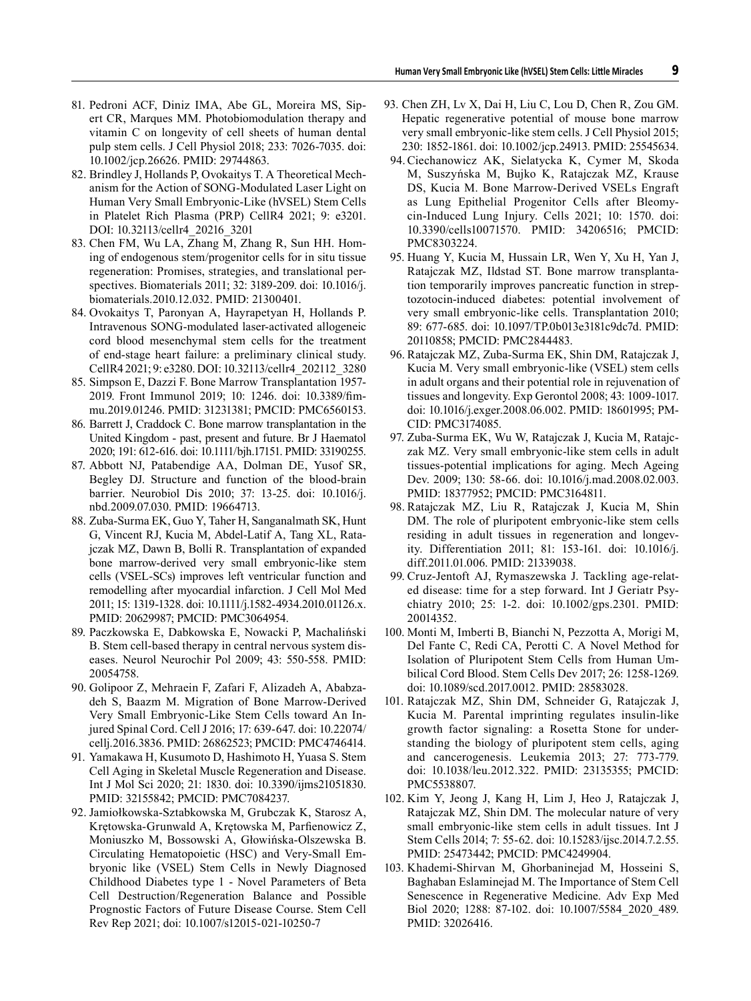- 81. Pedroni ACF, Diniz IMA, Abe GL, Moreira MS, Sipert CR, Marques MM. Photobiomodulation therapy and vitamin C on longevity of cell sheets of human dental pulp stem cells. J Cell Physiol 2018; 233: 7026-7035. doi: 10.1002/jcp.26626. PMID: 29744863.
- 82. Brindley J, Hollands P, Ovokaitys T. A Theoretical Mechanism for the Action of SONG-Modulated Laser Light on Human Very Small Embryonic-Like (hVSEL) Stem Cells in Platelet Rich Plasma (PRP) CellR4 2021; 9: e3201. DOI: 10.32113/cellr4\_20216\_3201
- 83. Chen FM, Wu LA, Zhang M, Zhang R, Sun HH. Homing of endogenous stem/progenitor cells for in situ tissue regeneration: Promises, strategies, and translational perspectives. Biomaterials 2011; 32: 3189-209. doi: 10.1016/j. biomaterials.2010.12.032. PMID: 21300401.
- 84. Ovokaitys T, Paronyan A, Hayrapetyan H, Hollands P. Intravenous SONG-modulated laser-activated allogeneic cord blood mesenchymal stem cells for the treatment of end-stage heart failure: a preliminary clinical study. CellR4 2021; 9: e3280. DOI: 10.32113/cellr4\_202112\_3280
- 85. Simpson E, Dazzi F. Bone Marrow Transplantation 1957- 2019. Front Immunol 2019; 10: 1246. doi: 10.3389/fimmu.2019.01246. PMID: 31231381; PMCID: PMC6560153.
- 86. Barrett J, Craddock C. Bone marrow transplantation in the United Kingdom - past, present and future. Br J Haematol 2020; 191: 612-616. doi: 10.1111/bjh.17151. PMID: 33190255.
- 87. Abbott NJ, Patabendige AA, Dolman DE, Yusof SR, Begley DJ. Structure and function of the blood-brain barrier. Neurobiol Dis 2010; 37: 13-25. doi: 10.1016/j. nbd.2009.07.030. PMID: 19664713.
- 88. Zuba-Surma EK, Guo Y, Taher H, Sanganalmath SK, Hunt G, Vincent RJ, Kucia M, Abdel-Latif A, Tang XL, Ratajczak MZ, Dawn B, Bolli R. Transplantation of expanded bone marrow-derived very small embryonic-like stem cells (VSEL-SCs) improves left ventricular function and remodelling after myocardial infarction. J Cell Mol Med 2011; 15: 1319-1328. doi: 10.1111/j.1582-4934.2010.01126.x. PMID: 20629987; PMCID: PMC3064954.
- 89. Paczkowska E, Dabkowska E, Nowacki P, Machaliński B. Stem cell-based therapy in central nervous system diseases. Neurol Neurochir Pol 2009; 43: 550-558. PMID: 20054758.
- 90. Golipoor Z, Mehraein F, Zafari F, Alizadeh A, Ababzadeh S, Baazm M. Migration of Bone Marrow-Derived Very Small Embryonic-Like Stem Cells toward An Injured Spinal Cord. Cell J 2016; 17: 639-647. doi: 10.22074/ cellj.2016.3836. PMID: 26862523; PMCID: PMC4746414.
- 91. Yamakawa H, Kusumoto D, Hashimoto H, Yuasa S. Stem Cell Aging in Skeletal Muscle Regeneration and Disease. Int J Mol Sci 2020; 21: 1830. doi: 10.3390/ijms21051830. PMID: 32155842; PMCID: PMC7084237.
- 92. Jamiołkowska-Sztabkowska M, Grubczak K, Starosz A, Krętowska-Grunwald A, Krętowska M, Parfienowicz Z, Moniuszko M, Bossowski A, Głowińska-Olszewska B. Circulating Hematopoietic (HSC) and Very-Small Embryonic like (VSEL) Stem Cells in Newly Diagnosed Childhood Diabetes type 1 - Novel Parameters of Beta Cell Destruction/Regeneration Balance and Possible Prognostic Factors of Future Disease Course. Stem Cell Rev Rep 2021; doi: 10.1007/s12015-021-10250-7
- 93. Chen ZH, Lv X, Dai H, Liu C, Lou D, Chen R, Zou GM. Hepatic regenerative potential of mouse bone marrow very small embryonic-like stem cells. J Cell Physiol 2015; 230: 1852-1861. doi: 10.1002/jcp.24913. PMID: 25545634.
	- 94.Ciechanowicz AK, Sielatycka K, Cymer M, Skoda M, Suszyńska M, Bujko K, Ratajczak MZ, Krause DS, Kucia M. Bone Marrow-Derived VSELs Engraft as Lung Epithelial Progenitor Cells after Bleomycin-Induced Lung Injury. Cells 2021; 10: 1570. doi: 10.3390/cells10071570. PMID: 34206516; PMCID: PMC8303224.
- 95. Huang Y, Kucia M, Hussain LR, Wen Y, Xu H, Yan J, Ratajczak MZ, Ildstad ST. Bone marrow transplantation temporarily improves pancreatic function in streptozotocin-induced diabetes: potential involvement of very small embryonic-like cells. Transplantation 2010; 89: 677-685. doi: 10.1097/TP.0b013e3181c9dc7d. PMID: 20110858; PMCID: PMC2844483.
- 96. Ratajczak MZ, Zuba-Surma EK, Shin DM, Ratajczak J, Kucia M. Very small embryonic-like (VSEL) stem cells in adult organs and their potential role in rejuvenation of tissues and longevity. Exp Gerontol 2008; 43: 1009-1017. doi: 10.1016/j.exger.2008.06.002. PMID: 18601995; PM-CID: PMC3174085.
- 97. Zuba-Surma EK, Wu W, Ratajczak J, Kucia M, Ratajczak MZ. Very small embryonic-like stem cells in adult tissues-potential implications for aging. Mech Ageing Dev. 2009; 130: 58-66. doi: 10.1016/j.mad.2008.02.003. PMID: 18377952; PMCID: PMC3164811.
- 98. Ratajczak MZ, Liu R, Ratajczak J, Kucia M, Shin DM. The role of pluripotent embryonic-like stem cells residing in adult tissues in regeneration and longevity. Differentiation 2011; 81: 153-161. doi: 10.1016/j. diff.2011.01.006. PMID: 21339038.
- 99. Cruz-Jentoft AJ, Rymaszewska J. Tackling age-related disease: time for a step forward. Int J Geriatr Psychiatry 2010; 25: 1-2. doi: 10.1002/gps.2301. PMID: 20014352.
- 100. Monti M, Imberti B, Bianchi N, Pezzotta A, Morigi M, Del Fante C, Redi CA, Perotti C. A Novel Method for Isolation of Pluripotent Stem Cells from Human Umbilical Cord Blood. Stem Cells Dev 2017; 26: 1258-1269. doi: 10.1089/scd.2017.0012. PMID: 28583028.
- 101. Ratajczak MZ, Shin DM, Schneider G, Ratajczak J, Kucia M. Parental imprinting regulates insulin-like growth factor signaling: a Rosetta Stone for understanding the biology of pluripotent stem cells, aging and cancerogenesis. Leukemia 2013; 27: 773-779. doi: 10.1038/leu.2012.322. PMID: 23135355; PMCID: PMC5538807.
- 102. Kim Y, Jeong J, Kang H, Lim J, Heo J, Ratajczak J, Ratajczak MZ, Shin DM. The molecular nature of very small embryonic-like stem cells in adult tissues. Int J Stem Cells 2014; 7: 55-62. doi: 10.15283/ijsc.2014.7.2.55. PMID: 25473442; PMCID: PMC4249904.
- 103. Khademi-Shirvan M, Ghorbaninejad M, Hosseini S, Baghaban Eslaminejad M. The Importance of Stem Cell Senescence in Regenerative Medicine. Adv Exp Med Biol 2020; 1288: 87-102. doi: 10.1007/5584\_2020\_489. PMID: 32026416.